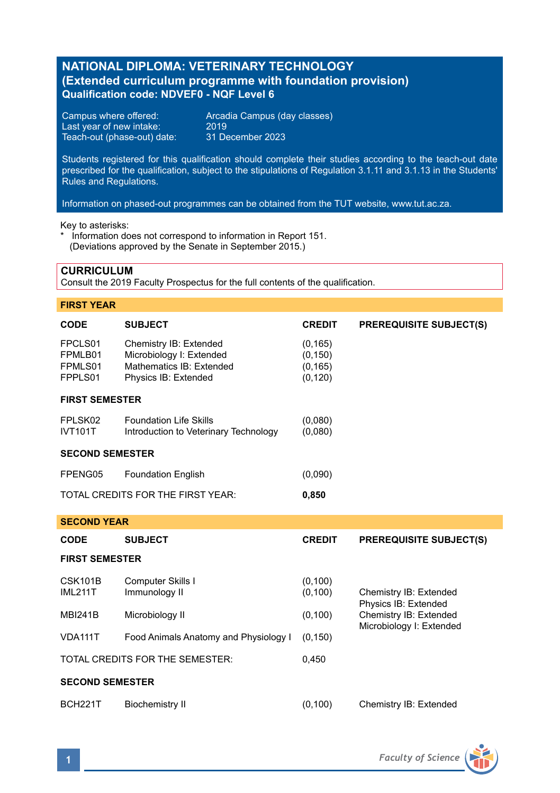## **NATIONAL DIPLOMA: VETERINARY TECHNOLOGY (Extended curriculum programme with foundation provision) Qualification code: NDVEF0 - NQF Level 6**

Last year of new intake: 2019 Teach-out (phase-out) date:

Campus where offered: <br>
Last vear of new intake: 2019<br>
2019

Students registered for this qualification should complete their studies according to the teach-out date prescribed for the qualification, subject to the stipulations of Regulation 3.1.11 and 3.1.13 in the Students' Rules and Regulations.

Information on phased-out programmes can be obtained from the TUT website, www.tut.ac.za.

Key to asterisks:

\* Information does not correspond to information in Report 151. (Deviations approved by the Senate in September 2015.)

## **CURRICULUM**

Consult the 2019 Faculty Prospectus for the full contents of the qualification.

## **FIRST YEAR**

**SECOND YEAR**

| <b>CODE</b>                              | <b>SUBJECT</b>                                                                                         | <b>CREDIT</b>                                | <b>PREREQUISITE SUBJECT(S)</b> |  |  |
|------------------------------------------|--------------------------------------------------------------------------------------------------------|----------------------------------------------|--------------------------------|--|--|
| FPCLS01<br>FPMLB01<br>FPMLS01<br>FPPLS01 | Chemistry IB: Extended<br>Microbiology I: Extended<br>Mathematics IB: Extended<br>Physics IB: Extended | (0, 165)<br>(0, 150)<br>(0, 165)<br>(0, 120) |                                |  |  |
| <b>FIRST SEMESTER</b>                    |                                                                                                        |                                              |                                |  |  |
| FPLSK02<br><b>IVT101T</b>                | <b>Foundation Life Skills</b><br>Introduction to Veterinary Technology                                 | (0,080)<br>(0.080)                           |                                |  |  |
| <b>SECOND SEMESTER</b>                   |                                                                                                        |                                              |                                |  |  |
| FPENG05                                  | <b>Foundation English</b>                                                                              | (0.090)                                      |                                |  |  |
| TOTAL CREDITS FOR THE FIRST YEAR:        |                                                                                                        | 0,850                                        |                                |  |  |

| ulvunu ilan               |                                       |                      |                                                    |  |  |
|---------------------------|---------------------------------------|----------------------|----------------------------------------------------|--|--|
| <b>CODE</b>               | <b>SUBJECT</b>                        | <b>CREDIT</b>        | <b>PREREQUISITE SUBJECT(S)</b>                     |  |  |
| <b>FIRST SEMESTER</b>     |                                       |                      |                                                    |  |  |
| CSK101B<br><b>IML211T</b> | Computer Skills I<br>Immunology II    | (0, 100)<br>(0, 100) | Chemistry IB: Extended<br>Physics IB: Extended     |  |  |
| <b>MBI241B</b>            | Microbiology II                       | (0, 100)             | Chemistry IB: Extended<br>Microbiology I: Extended |  |  |
| VDA111T                   | Food Animals Anatomy and Physiology I | (0, 150)             |                                                    |  |  |
|                           | TOTAL CREDITS FOR THE SEMESTER:       | 0.450                |                                                    |  |  |
| <b>SECOND SEMESTER</b>    |                                       |                      |                                                    |  |  |
| <b>BCH221T</b>            | <b>Biochemistry II</b>                | (0, 100)             | Chemistry IB: Extended                             |  |  |

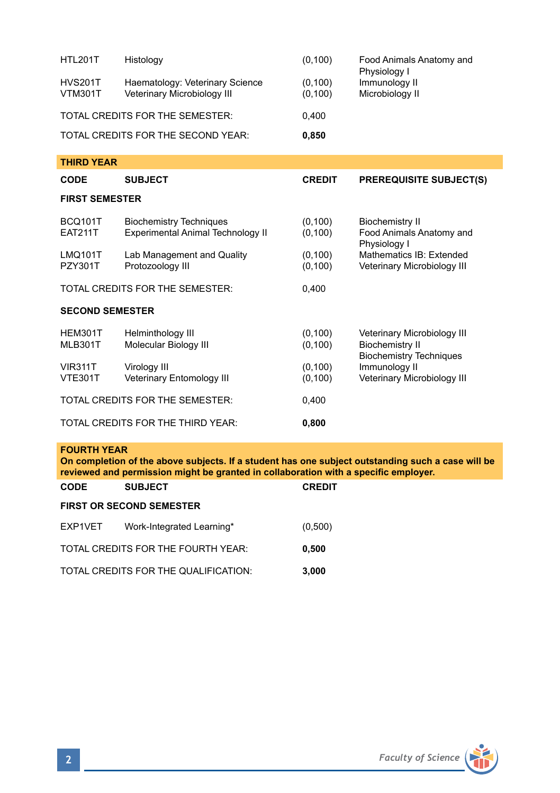| <b>HTL201T</b>                             | Histology                                                           | (0, 100)             | Food Animals Anatomy and<br>Physiology I                                                |  |  |
|--------------------------------------------|---------------------------------------------------------------------|----------------------|-----------------------------------------------------------------------------------------|--|--|
| <b>HVS201T</b><br><b>VTM301T</b>           | Haematology: Veterinary Science<br>Veterinary Microbiology III      | (0, 100)<br>(0, 100) | Immunology II<br>Microbiology II                                                        |  |  |
| TOTAL CREDITS FOR THE SEMESTER:            |                                                                     | 0.400                |                                                                                         |  |  |
|                                            | TOTAL CREDITS FOR THE SECOND YEAR:                                  | 0,850                |                                                                                         |  |  |
| <b>THIRD YEAR</b>                          |                                                                     |                      |                                                                                         |  |  |
| <b>CODE</b>                                | <b>SUBJECT</b>                                                      | <b>CREDIT</b>        | <b>PREREQUISITE SUBJECT(S)</b>                                                          |  |  |
| <b>FIRST SEMESTER</b>                      |                                                                     |                      |                                                                                         |  |  |
| <b>BCQ101T</b><br><b>EAT211T</b>           | <b>Biochemistry Techniques</b><br>Experimental Animal Technology II | (0, 100)<br>(0, 100) | <b>Biochemistry II</b><br>Food Animals Anatomy and<br>Physiology I                      |  |  |
| <b>LMQ101T</b><br><b>PZY301T</b>           | Lab Management and Quality<br>Protozoology III                      | (0, 100)<br>(0, 100) | Mathematics IB: Extended<br>Veterinary Microbiology III                                 |  |  |
|                                            | TOTAL CREDITS FOR THE SEMESTER:                                     | 0,400                |                                                                                         |  |  |
| <b>SECOND SEMESTER</b>                     |                                                                     |                      |                                                                                         |  |  |
| HEM301T<br><b>MLB301T</b>                  | Helminthology III<br>Molecular Biology III                          | (0, 100)<br>(0, 100) | Veterinary Microbiology III<br><b>Biochemistry II</b><br><b>Biochemistry Techniques</b> |  |  |
| <b>VIR311T</b><br><b>VTE301T</b>           | Virology III<br>Veterinary Entomology III                           | (0, 100)<br>(0, 100) | Immunology II<br>Veterinary Microbiology III                                            |  |  |
|                                            | TOTAL CREDITS FOR THE SEMESTER:                                     | 0,400                |                                                                                         |  |  |
| TOTAL CREDITS FOR THE THIRD YEAR:<br>0,800 |                                                                     |                      |                                                                                         |  |  |

## **FOURTH YEAR**

**On completion of the above subjects. If a student has one subject outstanding such a case will be reviewed and permission might be granted in collaboration with a specific employer.** 

| <b>CODE</b>                     | <b>SUBJECT</b>                       | <b>CREDIT</b> |  |  |  |
|---------------------------------|--------------------------------------|---------------|--|--|--|
| <b>FIRST OR SECOND SEMESTER</b> |                                      |               |  |  |  |
| EXP1VET                         | Work-Integrated Learning*            | (0,500)       |  |  |  |
|                                 | TOTAL CREDITS FOR THE FOURTH YEAR:   | 0,500         |  |  |  |
|                                 | TOTAL CREDITS FOR THE QUALIFICATION: | 3.000         |  |  |  |

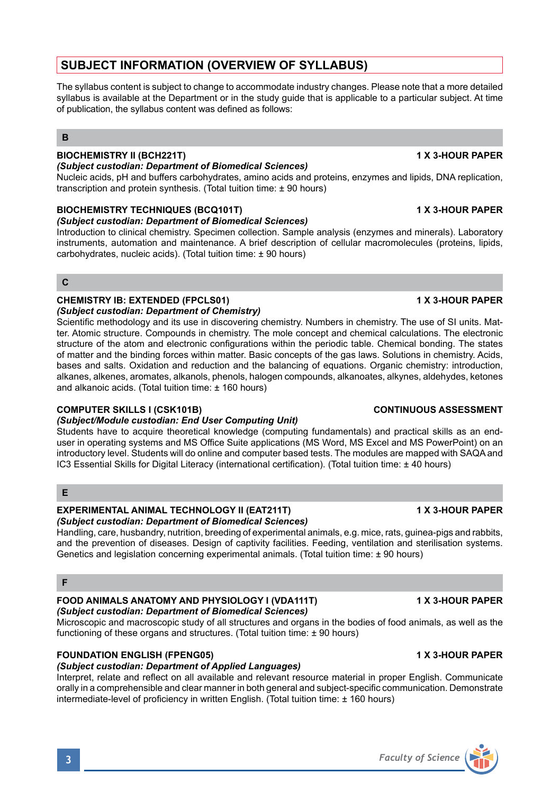# **SUBJECT INFORMATION (OVERVIEW OF SYLLABUS)**

The syllabus content is subject to change to accommodate industry changes. Please note that a more detailed syllabus is available at the Department or in the study guide that is applicable to a particular subject. At time of publication, the syllabus content was defined as follows:

## **B**

## **BIOCHEMISTRY II (BCH221T) 1 X 3-HOUR PAPER**

### *(Subject custodian: Department of Biomedical Sciences)*

Nucleic acids, pH and buffers carbohydrates, amino acids and proteins, enzymes and lipids, DNA replication, transcription and protein synthesis. (Total tuition time: ± 90 hours)

## **BIOCHEMISTRY TECHNIQUES (BCQ101T) 1 X 3-HOUR PAPER**

*(Subject custodian: Department of Biomedical Sciences)*

Introduction to clinical chemistry. Specimen collection. Sample analysis (enzymes and minerals). Laboratory instruments, automation and maintenance. A brief description of cellular macromolecules (proteins, lipids, carbohydrates, nucleic acids). (Total tuition time: ± 90 hours)

**C**

## **CHEMISTRY IB: EXTENDED (FPCLS01) 1 X 3-HOUR PAPER**

*(Subject custodian: Department of Chemistry)* Scientific methodology and its use in discovering chemistry. Numbers in chemistry. The use of SI units. Matter. Atomic structure. Compounds in chemistry. The mole concept and chemical calculations. The electronic structure of the atom and electronic configurations within the periodic table. Chemical bonding. The states of matter and the binding forces within matter. Basic concepts of the gas laws. Solutions in chemistry. Acids, bases and salts. Oxidation and reduction and the balancing of equations. Organic chemistry: introduction, alkanes, alkenes, aromates, alkanols, phenols, halogen compounds, alkanoates, alkynes, aldehydes, ketones and alkanoic acids. (Total tuition time: ± 160 hours)

## **COMPUTER SKILLS I (CSK101B) CONTINUOUS ASSESSMENT**

## *(Subject/Module custodian: End User Computing Unit)*

Students have to acquire theoretical knowledge (computing fundamentals) and practical skills as an enduser in operating systems and MS Office Suite applications (MS Word, MS Excel and MS PowerPoint) on an introductory level. Students will do online and computer based tests. The modules are mapped with SAQA and IC3 Essential Skills for Digital Literacy (international certification). (Total tuition time: ± 40 hours)

## **E**

## **EXPERIMENTAL ANIMAL TECHNOLOGY II (EAT211T) 1 X 3-HOUR PAPER**

## *(Subject custodian: Department of Biomedical Sciences)*

Handling, care, husbandry, nutrition, breeding of experimental animals, e.g. mice, rats, guinea-pigs and rabbits, and the prevention of diseases. Design of captivity facilities. Feeding, ventilation and sterilisation systems. Genetics and legislation concerning experimental animals. (Total tuition time: ± 90 hours)

## **F**

### **FOOD ANIMALS ANATOMY AND PHYSIOLOGY I (VDA111T) 1 X 3-HOUR PAPER** *(Subject custodian: Department of Biomedical Sciences)*

Microscopic and macroscopic study of all structures and organs in the bodies of food animals, as well as the functioning of these organs and structures. (Total tuition time: ± 90 hours)

## **FOUNDATION ENGLISH (FPENG05) 1 X 3-HOUR PAPER**

## *(Subject custodian: Department of Applied Languages)*

Interpret, relate and reflect on all available and relevant resource material in proper English. Communicate orally in a comprehensible and clear manner in both general and subject-specific communication. Demonstrate intermediate-level of proficiency in written English. (Total tuition time: ± 160 hours)



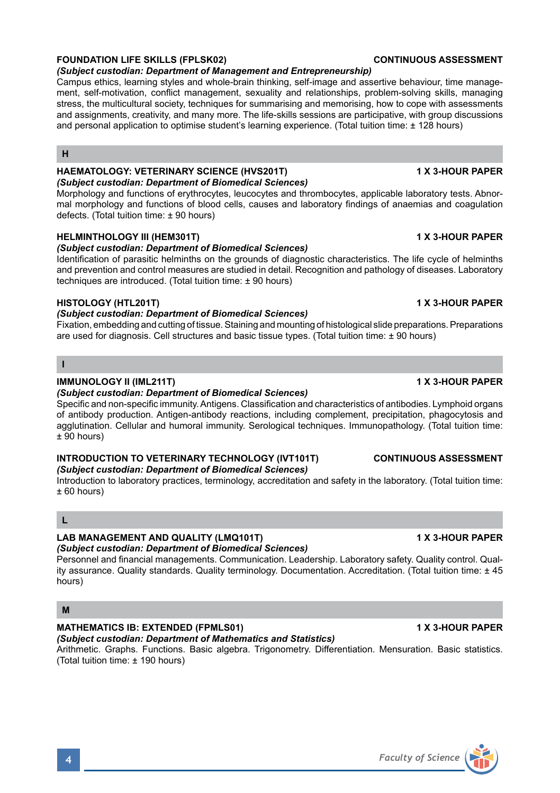## **FOUNDATION LIFE SKILLS (FPLSK02) CONTINUOUS ASSESSMENT**

### *(Subject custodian: Department of Management and Entrepreneurship)*

Campus ethics, learning styles and whole-brain thinking, self-image and assertive behaviour, time management, self-motivation, conflict management, sexuality and relationships, problem-solving skills, managing stress, the multicultural society, techniques for summarising and memorising, how to cope with assessments and assignments, creativity, and many more. The life-skills sessions are participative, with group discussions and personal application to optimise student's learning experience. (Total tuition time: ± 128 hours)

### **H**

### **HAEMATOLOGY: VETERINARY SCIENCE (HVS201T) 1 X 3-HOUR PAPER** *(Subject custodian: Department of Biomedical Sciences)*

Morphology and functions of erythrocytes, leucocytes and thrombocytes, applicable laboratory tests. Abnormal morphology and functions of blood cells, causes and laboratory findings of anaemias and coagulation defects. (Total tuition time: ± 90 hours)

## **HELMINTHOLOGY III (HEM301T) 1 X 3-HOUR PAPER**

### *(Subject custodian: Department of Biomedical Sciences)*

Identification of parasitic helminths on the grounds of diagnostic characteristics. The life cycle of helminths and prevention and control measures are studied in detail. Recognition and pathology of diseases. Laboratory techniques are introduced. (Total tuition time: ± 90 hours)

### **HISTOLOGY (HTL201T) 1 X 3-HOUR PAPER**

### *(Subject custodian: Department of Biomedical Sciences)*

Fixation, embedding and cutting of tissue. Staining and mounting of histological slide preparations. Preparations are used for diagnosis. Cell structures and basic tissue types. (Total tuition time: ± 90 hours)

## **I**

## **IMMUNOLOGY II (IML211T) 1 X 3-HOUR PAPER**

### *(Subject custodian: Department of Biomedical Sciences)*

Specific and non-specific immunity. Antigens. Classification and characteristics of antibodies. Lymphoid organs of antibody production. Antigen-antibody reactions, including complement, precipitation, phagocytosis and agglutination. Cellular and humoral immunity. Serological techniques. Immunopathology. (Total tuition time:  $+90$  hours)

### **INTRODUCTION TO VETERINARY TECHNOLOGY (IVT101T) CONTINUOUS ASSESSMENT** *(Subject custodian: Department of Biomedical Sciences)*

Introduction to laboratory practices, terminology, accreditation and safety in the laboratory. (Total tuition time: ± 60 hours)

### **L**

### **LAB MANAGEMENT AND QUALITY (LMQ101T) 1 X 3-HOUR PAPER**

*(Subject custodian: Department of Biomedical Sciences)*

Personnel and financial managements. Communication. Leadership. Laboratory safety. Quality control. Quality assurance. Quality standards. Quality terminology. Documentation. Accreditation. (Total tuition time: ± 45 hours)

### **M**

## **MATHEMATICS IB: EXTENDED (FPMLS01) 1 X 3-HOUR PAPER**

### *(Subject custodian: Department of Mathematics and Statistics)* Arithmetic. Graphs. Functions. Basic algebra. Trigonometry. Differentiation. Mensuration. Basic statistics. (Total tuition time: ± 190 hours)